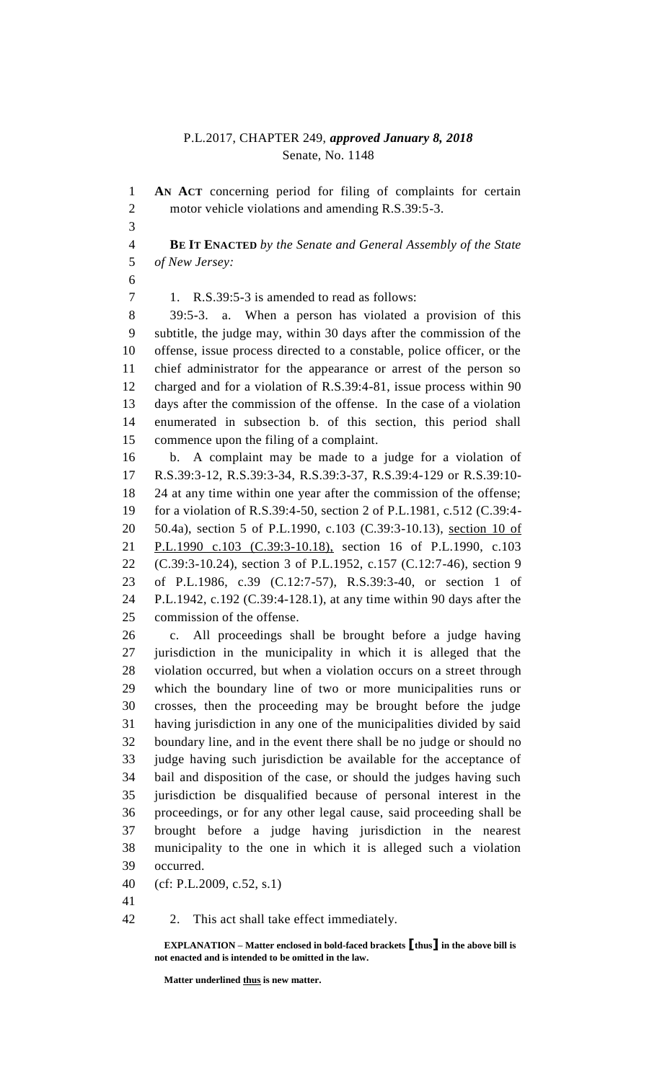## P.L.2017, CHAPTER 249, *approved January 8, 2018* Senate, No. 1148

 **AN ACT** concerning period for filing of complaints for certain 2 motor vehicle violations and amending R.S.39:5-3.

 **BE IT ENACTED** *by the Senate and General Assembly of the State of New Jersey:*

1. R.S.39:5-3 is amended to read as follows:

 39:5-3. a. When a person has violated a provision of this subtitle, the judge may, within 30 days after the commission of the offense, issue process directed to a constable, police officer, or the chief administrator for the appearance or arrest of the person so charged and for a violation of R.S.39:4-81, issue process within 90 days after the commission of the offense. In the case of a violation enumerated in subsection b. of this section, this period shall commence upon the filing of a complaint.

 b. A complaint may be made to a judge for a violation of R.S.39:3-12, R.S.39:3-34, R.S.39:3-37, R.S.39:4-129 or R.S.39:10- 24 at any time within one year after the commission of the offense; for a violation of R.S.39:4-50, section 2 of P.L.1981, c.512 (C.39:4- 50.4a), section 5 of P.L.1990, c.103 (C.39:3-10.13), section 10 of 21 P.L.1990 c.103 (C.39:3-10.18), section 16 of P.L.1990, c.103 (C.39:3-10.24), section 3 of P.L.1952, c.157 (C.12:7-46), section 9 of P.L.1986, c.39 (C.12:7-57), R.S.39:3-40, or section 1 of P.L.1942, c.192 (C.39:4-128.1), at any time within 90 days after the commission of the offense.

 c. All proceedings shall be brought before a judge having jurisdiction in the municipality in which it is alleged that the violation occurred, but when a violation occurs on a street through which the boundary line of two or more municipalities runs or crosses, then the proceeding may be brought before the judge having jurisdiction in any one of the municipalities divided by said boundary line, and in the event there shall be no judge or should no judge having such jurisdiction be available for the acceptance of bail and disposition of the case, or should the judges having such jurisdiction be disqualified because of personal interest in the proceedings, or for any other legal cause, said proceeding shall be brought before a judge having jurisdiction in the nearest municipality to the one in which it is alleged such a violation occurred.

(cf: P.L.2009, c.52, s.1)

2. This act shall take effect immediately.

**EXPLANATION – Matter enclosed in bold-faced brackets [thus] in the above bill is not enacted and is intended to be omitted in the law.**

**Matter underlined thus is new matter.**